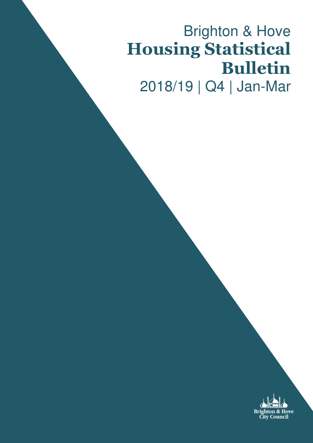# Brighton & Hove Housing Statistical Bulletin 2018/19 | Q4 | Jan-Mar

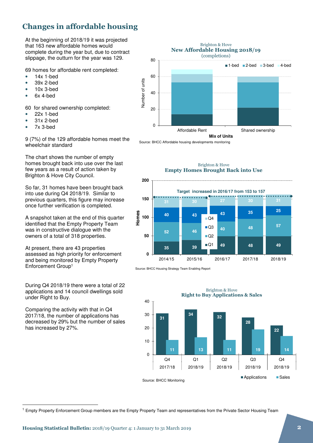# Changes in affordable housing

At the beginning of 2018/19 it was projected that 163 new affordable homes would complete during the year but, due to contract slippage, the outturn for the year was 129.

69 homes for affordable rent completed:

- 14x 1-bed
- 39x 2-bed
- 10x 3-bed
- 6x 4-bed

60 for shared ownership completed:

- 22x 1-bed
- $31x$  2-bed
- 7x 3-bed

9 (7%) of the 129 affordable homes meet the wheelchair standard

The chart shows the number of empty homes brought back into use over the last few years as a result of action taken by Brighton & Hove City Council.

So far, 31 homes have been brought back into use during Q4 2018/19. Similar to previous quarters, this figure may increase once further verification is completed.

A snapshot taken at the end of this quarter identified that the Empty Property Team was in constructive dialogue with the owners of a total of 318 properties.

At present, there are 43 properties assessed as high priority for enforcement and being monitored by Empty Property Enforcement Group<sup>1</sup>

During Q4 2018/19 there were a total of 22 applications and 14 council dwellings sold under Right to Buy.

Comparing the activity with that in Q4 2017/18, the number of applications has decreased by 29% but the number of sales has increased by 27%.

 $\overline{a}$ 





Brighton & Hove

Source: BHCC Housing Strategy Team Enabling Report



<sup>1</sup> Empty Property Enforcement Group members are the Empty Property Team and representatives from the Private Sector Housing Team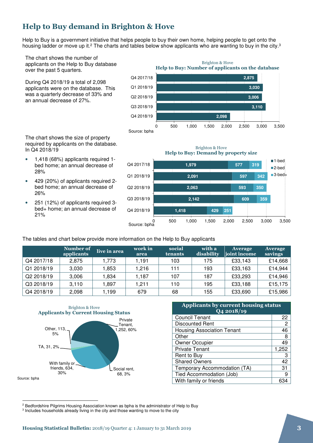# Help to Buy demand in Brighton & Hove

Help to Buy is a government initiative that helps people to buy their own home, helping people to get onto the housing ladder or move up it.<sup>2</sup> The charts and tables below show applicants who are wanting to buy in the city.<sup>3</sup>

The chart shows the number of applicants on the Help to Buy database over the past 5 quarters.

During Q4 2018/19 a total of 2,098 applicants were on the database. This was a quarterly decrease of 33% and an annual decrease of 27%.

The chart shows the size of property required by applicants on the database. In Q4 2018/19

- 1,418 (68%) applicants required 1 bed home; an annual decrease of 28%
- 429 (20%) of applicants required 2 bed home; an annual decrease of 26%
- 251 (12%) of applicants required 3 bed+ home; an annual decrease of 21%





The tables and chart below provide more information on the Help to Buy applicants

|            | Number of<br>applicants | live in area | work in<br>area | social<br>tenants | with a<br>disability | <b>Average</b><br>joint income | Average<br>savings |
|------------|-------------------------|--------------|-----------------|-------------------|----------------------|--------------------------------|--------------------|
| Q4 2017/18 | 2.875                   | 1,773        | 1.191           | 103               | 175                  | £33,143                        | £14,668            |
| Q1 2018/19 | 3,030                   | 853, ا       | 1,216           | 111               | 193                  | £33,163                        | £14,944            |
| Q2 2018/19 | 3,006                   | 834. ا       | 1,187           | 107               | 187                  | £33,293                        | £14,946            |
| Q3 2018/19 | 3,110                   | 897. ا       | 1.211           | 110               | 195                  | £33,188                        | £15,175            |
| Q4 2018/19 | 2,098                   | 1,199        | 679             | 68                | 155                  | £33,690                        | £15,986            |





#### Applicants by current housing status Q4 2018/19

| V4 2010/19                        |                |
|-----------------------------------|----------------|
| <b>Council Tenant</b>             | 22             |
| <b>Discounted Rent</b>            | $\overline{2}$ |
| <b>Housing Association Tenant</b> | 46             |
| Other                             | 8              |
| <b>Owner Occupier</b>             | 49             |
| <b>Private Tenant</b>             | 1,252          |
| Rent to Buy                       | 3              |
| <b>Shared Owners</b>              | 42             |
| Temporary Accommodation (TA)      | 31             |
| Tied Accommodation (Job)          | 9              |
| With family or friends            |                |
|                                   |                |

2 Bedfordshire Pilgrims Housing Association known as bpha is the administrator of Help to Buy

<sup>&</sup>lt;sup>3</sup> Includes households already living in the city and those wanting to move to the city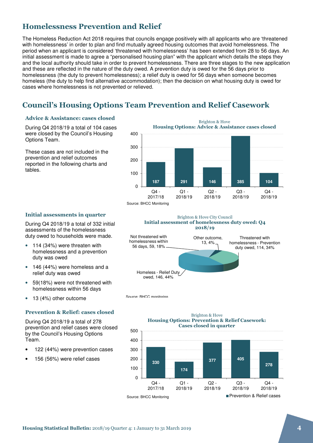## Homelessness Prevention and Relief

The Homeless Reduction Act 2018 requires that councils engage positively with all applicants who are 'threatened with homelessness' in order to plan and find mutually agreed housing outcomes that avoid homelessness. The period when an applicant is considered 'threatened with homelessness' has been extended from 28 to 56 days. An initial assessment is made to agree a "personalised housing plan" with the applicant which details the steps they and the local authority should take in order to prevent homelessness. There are three stages to the new application and these are reflected in the nature of the duty owed. A prevention duty is owed for the 56 days prior to homelessness (the duty to prevent homelessness); a relief duty is owed for 56 days when someone becomes homeless (the duty to help find alternative accommodation); then the decision on what housing duty is owed for cases where homelessness is not prevented or relieved.

## Council's Housing Options Team Prevention and Relief Casework

#### Advice & Assistance: cases closed

During Q4 2018/19 a total of 104 cases were closed by the Council's Housing Options Team.

These cases are not included in the prevention and relief outcomes reported in the following charts and tables.



Source: BHCC Monitoring

#### Initial assessments in quarter

During Q4 2018/19 a total of 332 initial assessments of the homelessness duty owed to households were made.

- 114 (34%) were threaten with homelessness and a prevention duty was owed
- 146 (44%) were homeless and a relief duty was owed
- 59(18%) were not threatened with homelessness within 56 days
- 13 (4%) other outcome

### Prevention & Relief: cases closed

During Q4 2018/19 a total of 278 prevention and relief cases were closed by the Council's Housing Options Team.

- 122 (44%) were prevention cases
- 156 (56%) were relief cases

#### Brighton & Hove City Council Initial assessment of homelessness duty owed: Q4 2018/19



Source: BHCC monitoring

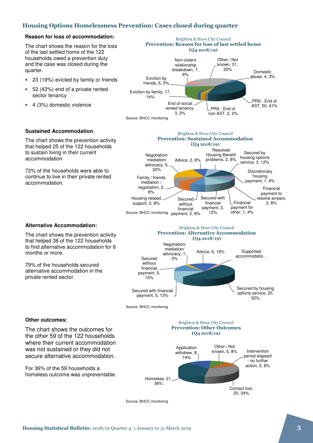### Housing Options Homelessness Prevention: Cases closed during quarter

#### **Reason for loss of accommodation:**

The chart shows the reason for the loss of the last settled home of the 122 households owed a prevention duty and the case was closed during the quarter.

- 23 (19%) evicted by family or friends
- 52 (43%) end of a private rented sector tenancy
- 4 (3%) domestic violence



#### **Sustained Accommodation**:

The chart shows the prevention activity that helped 25 of the 122 households to sustain living in their current accommodation

72% of the households were able to continue to live in their private rented accommodation.



#### **Alternative Accommodation:**

The chart shows the prevention activity that helped 38 of the 122 households to find alternative accommodation for 6 months or more.

79% of the households secured alternative accommodation in the private rented sector.

#### Brighton & Hove City Council Prevention: Alternative Accommodation (Q4 2018/19)



Source: BHCC monitoring

#### **Other outcomes:**

The chart shows the outcomes for the other 59 of the 122 households where their current accommodation was not sustained or they did not secure alternative accommodation.

For 36% of the 59 households a homeless outcome was unpreventable.

#### Brighton & Hove City Council Prevention: Other Outcomes (Q4 2018/19)



Source: BHCC monitoring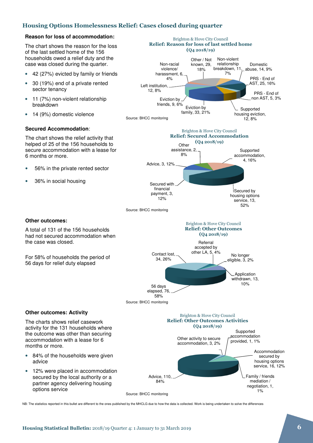### Housing Options Homelessness Relief: Cases closed during quarter

#### **Reason for loss of accommodation:**

The chart shows the reason for the loss of the last settled home of the 156 households owed a relief duty and the case was closed during the quarter.

- 42 (27%) evicted by family or friends
- 30 (19%) end of a private rented sector tenancy
- 11 (7%) non-violent relationship breakdown
- 14 (9%) domestic violence

#### **Secured Accommodation**:

The chart shows the relief activity that helped of 25 of the 156 households to secure accommodation with a lease for 6 months or more.

• 56% in the private rented sector

A total of 131 of the 156 households

For 58% of households the period of 56 days for relief duty elapsed

• 36% in social housing

**Other outcomes:** 

the case was closed.

**Other outcomes: Activity** 

months or more.

advice

The charts shows relief casework activity for the 131 households where the outcome was other than securing accommodation with a lease for 6



• 12% were placed in accommodation secured by the local authority or a partner agency delivering housing options service

• 84% of the households were given

NB: The statistics reported in this bullet are different to the ones published by the MHCLG due to how the data is collected. Work is being undertaken to solve the differences

Source: BHCC monitoring

84%

mediation / negotiation, 1 1%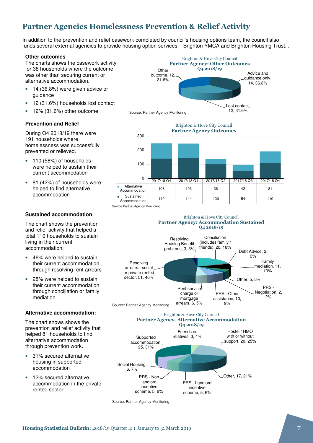# Partner Agencies Homelessness Prevention & Relief Activity

In addition to the prevention and relief casework completed by council's housing options team, the council also funds several external agencies to provide housing option services – Brighton YMCA and Brighton Housing Trust. .

#### **Other outcomes**

The charts shows the casework activity for 38 households where the outcome was other than securing current or alternative accommodation.

- 14 (36.8%) were given advice or guidance
- 12 (31.6%) households lost contact
- 12% (31.6%) other outcome

### **Prevention and Relief**

During Q4 2018/19 there were 191 households where homelessness was successfully prevented or relieved.

- 110 (58%) of households were helped to sustain their current accommodation
- 81 (42%) of households were helped to find alternative accommodation

#### **Sustained accommodation**:

The chart shows the prevention and relief activity that helped a total 110 households to sustain living in their current accommodation.

- 46% were helped to sustain their current accommodation through resolving rent arrears
- 28% were helped to sustain their current accommodation through conciliation or family mediation

#### **Alternative accommodation:**

The chart shows shows the prevention and relief activity that helped 81 households to find alternative accommodation through prevention work.

- 31% secured alternative housing in supported accommodation
- 12% secured alternative accommodation in the private rented sector





#### Source Partner Agency Monitoring







Source: Partner Agency Monitoring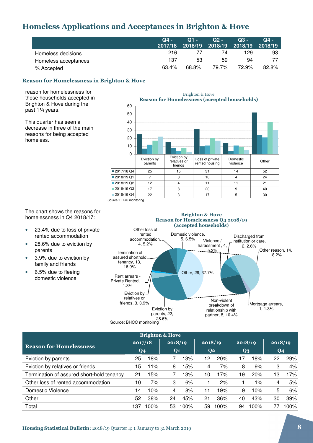### Homeless Applications and Acceptances in Brighton & Hove

|                      | $Q4 -$<br>2017/18 | $\Omega$ 1 - | $Q^2 -$<br>2018/19 2018/19 | <b>O3 - 1</b><br> 2018/19 | Q4 -<br>2018/19 |
|----------------------|-------------------|--------------|----------------------------|---------------------------|-----------------|
| Homeless decisions   | 216               |              | 74                         | 129                       | 93              |
| Homeless acceptances | 137               | 53           | 59                         | 94                        |                 |
| % Accepted           | 63.4%             | 68.8%        | 79.7%                      | 72.9%                     | 82.8%           |

#### Reason for Homelessness in Brighton & Hove



This quarter has seen a decrease in three of the main reasons for being accepted homeless.



Source: BHCC monitoring

The chart shows the reasons for homelessness in Q4 2018/17:

- 23.4% due to loss of private rented accommodation
- 28.6% due to eviction by parents
- 3.9% due to eviction by family and friends
- 6.5% due to fleeing domestic violence

#### Brighton & Hove Reason for Homelessness Q4 2018/19 (accepted households)



| <b>Brighton &amp; Hove</b>                |                |      |         |      |                |      |         |                         |         |      |
|-------------------------------------------|----------------|------|---------|------|----------------|------|---------|-------------------------|---------|------|
| <b>Reason for Homelessness</b>            | 2017/18        |      | 2018/19 |      | 2018/19        |      | 2018/19 |                         | 2018/19 |      |
|                                           | Q <sub>4</sub> |      | $Q_1$   |      | Q <sub>2</sub> |      |         | Q <sub>4</sub><br>$Q_3$ |         |      |
| Eviction by parents                       | 25             | 18%  |         | 13%  | 12             | 20%  | 17      | 18%                     | 22      | 29%  |
| Eviction by relatives or friends          | 15             | 11%  | 8       | 15%  | 4              | 7%   | 8       | 9%                      | 3       | 4%   |
| Termination of assured short-hold tenancy | 21             | 15%  |         | 13%  | 10             | 17%  | 19      | 20%                     | 13      | 17%  |
| Other loss of rented accommodation        | 10             | 7%   | 3       | 6%   |                | 2%   |         | $1\%$                   | 4       | 5%   |
| Domestic Violence                         | 14             | 10%  | 4       | 8%   | 11             | 19%  | 9       | 10%                     | 5       | 6%   |
| Other                                     | 52             | 38%  | 24      | 45%  | 21             | 36%  | 40      | 43%                     | 30      | 39%  |
| Total                                     | 137            | 100% | 53      | 100% | 59             | 100% | 94      | 100%                    |         | 100% |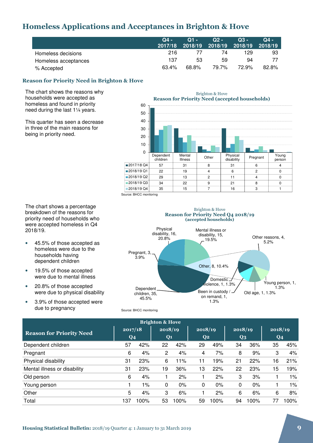### Homeless Applications and Acceptances in Brighton & Hove

|                      | $\overline{04}$ -<br>2017/18 | $Q1 -$ | Q2 -<br>2018/19 2018/19 | $\Omega$ 3 -<br>2018/19 | Q4 -<br>2018/19 |
|----------------------|------------------------------|--------|-------------------------|-------------------------|-----------------|
| Homeless decisions   | 216                          |        | 74                      | 129                     | 93              |
| Homeless acceptances | 137                          | 53     | 59                      | 94                      |                 |
| % Accepted           | 63.4%                        | 68.8%  | 79.7%                   | 72.9%                   | 82.8%           |

### Reason for Priority Need in Brighton & Hove

The chart shows the reasons why households were accepted as homeless and found in priority need during the last 1¼ years.

This quarter has seen a decrease in three of the main reasons for

being in priority need.



Source: BHCC monitoring

The chart shows a percentage breakdown of the reasons for priority need of households who were accepted homeless in Q4 2018/19.

- 45.5% of those accepted as homeless were due to the households having dependent children
- 19.5% of those accepted were due to mental illness
- 20.8% of those accepted were due to physical disability
- 3.9% of those accepted were due to pregnancy



1.3%

Source: BHCC monitoring

| <b>Brighton &amp; Hove</b>      |                |       |         |       |                |      |         |      |                |      |
|---------------------------------|----------------|-------|---------|-------|----------------|------|---------|------|----------------|------|
| <b>Reason for Priority Need</b> | 2017/18        |       | 2018/19 |       | 2018/19        |      | 2018/19 |      | 2018/19        |      |
|                                 | Q <sub>4</sub> |       | $Q_1$   |       | Q <sub>2</sub> |      | $Q_3$   |      | Q <sub>4</sub> |      |
| Dependent children              | 57             | 42%   | 22      | 42%   | 29             | 49%  | 34      | 36%  | 35             | 45%  |
| Pregnant                        | 6              | 4%    | 2       | 4%    | 4              | 7%   | 8       | 9%   | 3              | 4%   |
| Physical disability             | 31             | 23%   | 6       | 11%   | 11             | 19%  | 21      | 22%  | 16             | 21%  |
| Mental illness or disability    | 31             | 23%   | 19      | 36%   | 13             | 22%  | 22      | 23%  | 15             | 19%  |
| Old person                      | 6              | 4%    |         | 2%    |                | 2%   | 3       | 3%   |                | 1%   |
| Young person                    |                | $1\%$ | 0       | $0\%$ | 0              | 0%   | 0       | 0%   |                | 1%   |
| Other                           | 5              | 4%    | 3       | 6%    |                | 2%   | 6       | 6%   | 6              | 8%   |
| Total                           | 37             | 100%  | 53      | 100%  | 59             | 100% | 94      | 100% |                | 100% |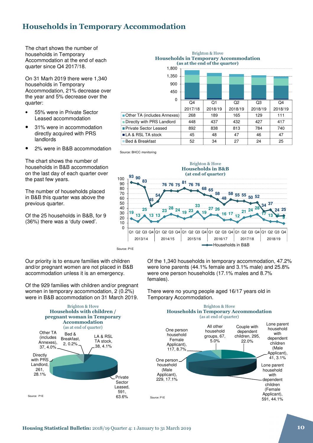### Households in Temporary Accommodation

The chart shows the number of households in Temporary Accommodation at the end of each quarter since Q4 2017/18.

On 31 Marh 2019 there were 1,340 households in Temporary Accommodation, 21% decrease over the year and 5% decrease over the quarter:

- 55% were in Private Sector Leased accommodation
- 31% were in accommodation directly acquired with PRS landlords
- 2% were in B&B accommodation

The chart shows the number of households in B&B accommodation on the last day of each quarter over the past few years.

The number of households placed in B&B this quarter was above the previous quarter.

Of the 25 households in B&B, for 9 (36%) there was a 'duty owed'.

1,800 Brighton & Hove Households in Temporary Accommodation (as at the end of the quarter)



Source: BHCC monitoring



Our priority is to ensure families with children and/or pregnant women are not placed in B&B accommodation unless it is an emergency.

Of the 929 families with children and/or pregnant women in temporary accommodation, 2 (0.2%) were in B&B accommodation on 31 March 2019.

Of the 1,340 households in temporary accommodation, 47.2% were lone parents (44.1% female and 3.1% male) and 25.8% were one person households (17.1% males and 8.7% females).

There were no young people aged 16/17 years old in Temporary Accommodation.

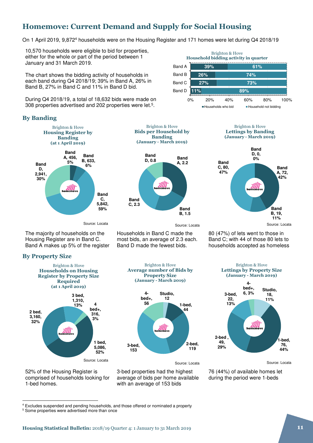# Homemove: Current Demand and Supply for Social Housing

On 1 April 2019, 9,872<sup>4</sup> households were on the Housing Register and 171 homes were let during Q4 2018/19

10,570 households were eligible to bid for properties, either for the whole or part of the period between 1 January and 31 March 2019.

The chart shows the bidding activity of households in each band during Q4 2018/19; 39% in Band A, 26% in Band B, 27% in Band C and 11% in Band D bid.

During Q4 2018/19, a total of 18,632 bids were made on 308 properties advertised and 202 properties were let.<sup>5</sup>.



### By Banding



**Band Band D, 0.8** Brighton & Hove Bids per Household by Banding (January - March 2019)



Brighton & Hove Lettings by Banding (January - March 2019)



Source: Locata

The majority of households on the Housing Register are in Band C. Band A makes up 5% of the register

### By Property Size



Source: Locata

Households in Band C made the most bids, an average of 2.3 each. Band D made the fewest bids.



Source: Locata

Source: Locata

3-bed properties had the highest average of bids per home available with an average of 153 bids

80 (47%) of lets went to those in Band C; with 44 of those 80 lets to households accepted as homeless





Source: Locata

76 (44%) of available homes let during the period were 1-beds

52% of the Housing Register is comprised of households looking for 1-bed homes.

 $\overline{a}$ 4 Excludes suspended and pending households, and those offered or nominated a property <sup>5</sup> Some properties were advertised more than once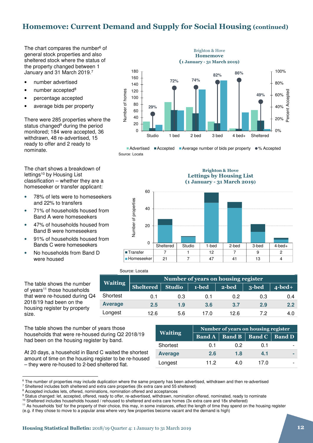## Homemove: Current Demand and Supply for Social Housing (continued)

The chart compares the number<sup>6</sup> of general stock properties and also sheltered stock where the status of the property changed between 1 January and 31 March 2019.<sup>7</sup>

- number advertised
- number accepted<sup>8</sup>
- percentage accepted
- average bids per property

There were 285 properties where the status changed<sup>9</sup> during the period monitored; 184 were accepted, 36 withdrawn, 48 re-advertised, 15 ready to offer and 2 ready to nominate.

The chart shows a breakdown of lettings<sup>10</sup> by Housing List classification – whether they are a homeseeker or transfer applicant:

- 78% of lets were to homeseekers and 22% to transfers
- 71% of households housed from Band A were homeseekers
- 47% of households housed from Band B were homeseekers
- 91% of households housed from Bands C were homeseekers
- No households from Band D were housed

Brighton & Hove Homemove (1 January - 31 March 2019) 180 100% **82% 86%** 160 **72% 74%** 80% 140 120 Number of homes Number of homes Percent Accepted Percent Accepted **49%** 60% 100 80 **29%** 40% 60 40 20% 20  $\overline{0}$ 0% Studio 1 bed 2 bed 3 bed 4 bed+ Sheltered

 $\blacksquare$  Advertised  $\blacksquare$  Accepted  $\blacksquare$  Average number of bids per property  $\lozenge$ % Accepted Source: Locata

#### Brighton & Hove Lettings by Housing List (1 January - 31 March 2019)



#### Source: Locata

| <b>Waiting</b> | Number of years on housing register |               |       |       |       |           |  |
|----------------|-------------------------------------|---------------|-------|-------|-------|-----------|--|
|                | <b>Sheltered</b>                    | <b>Studio</b> | 1-bed | 2-bed | 3-bed | $4$ -bed+ |  |
| Shortest       | 0.1                                 | 0.3           | 0.1   | 0.2   | 0.3   | 0.4       |  |
| <b>Average</b> | $2.5\,$                             | 1.9           | 3.6   | 3.7   | 2.9   | 2.2       |  |
| Longest        | 12.6                                | 5.6           | 17 O  | 12 6  | 72    | 4.0       |  |

The table shows the number of years<sup>11</sup> those households that were re-housed during Q4 2018/19 had been on the housing register by property size.

The table shows the number of years those households that were re-housed during Q2 2018/19 had been on the housing register by band.

At 20 days, a household in Band C waited the shortest amount of time on the housing register to be re-housed – they were re-housed to 2-bed sheltered flat.

|                | Number of years on housing register |                                   |      |  |  |  |  |  |
|----------------|-------------------------------------|-----------------------------------|------|--|--|--|--|--|
| <b>Waiting</b> |                                     | Band A   Band B   Band C   Band D |      |  |  |  |  |  |
| Shortest       | O 1                                 | 0 2                               | O 1  |  |  |  |  |  |
| <b>Average</b> | 2.6                                 | 1.8                               | 4.1  |  |  |  |  |  |
| Longest        | 11.2                                | 4 በ                               | 17.0 |  |  |  |  |  |

 $\overline{a}$ 6 The number of properties may include duplication where the same property has been advertised, withdrawn and then re-advertised

 $7$  Sheltered includes both sheltered and extra care properties (8x extra care and 55 sheltered)

<sup>&</sup>lt;sup>8</sup> Accepted includes lets, offered, nominations, nomination offered and acceptances

<sup>&</sup>lt;sup>9</sup> Status changed: let, accepted, offered, ready to offer, re-advertised, withdrawn, nomination offered, nominated, ready to nominate

<sup>&</sup>lt;sup>10</sup> Sheltered includes households housed / rehoused to sheltered and extra care homes (3x extra care and 18x sheltered)

<sup>&</sup>lt;sup>11</sup> As households 'bid' for the property of their choice, this may, in some instances, effect the length of time they spend on the housing register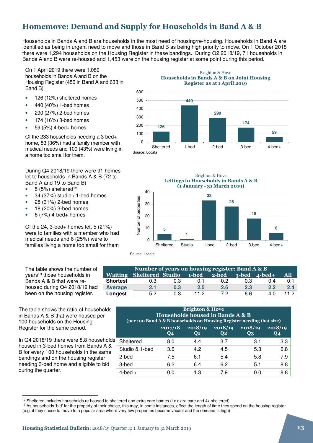# Homemove: Demand and Supply for Households in Band A & B

Households in Bands A and B are households in the most need of housing/re-housing. Households in Band A are identified as being in urgent need to move and those in Band B as being high priority to move. On 1 October 2018 there were 1,294 households on the Housing Register in these bandings. During Q2 2018/19, 71 households in Bands A and B were re-housed and 1,453 were on the housing register at some point during this period.

On 1 April 2019 there were 1,089 households in Bands A and B on the Housing Register (456 in Band A and 633 in Band B)

- 126 (12%) sheltered homes
- 440 (40%) 1-bed homes
- 290 (27%) 2-bed homes
- 174 (16%) 3-bed homes
- 59 (5%) 4-bed+ homes

Of the 233 households needing a 3-bed+ home, 83 (36%) had a family member with medical needs and 100 (43%) were living in a home too small for them.

During Q4 2018/19 there were 91 homes let to households in Bands A & B (72 to Band A and 19 to Band B)

- $5(5%)$  sheltered<sup>12</sup>
- 34 (37%) studio / 1-bed homes
- 28 (31%) 2-bed homes
- 18 (20%) 3-bed homes
- 6 (7%) 4-bed+ homes

Of the 24, 3-bed+ homes let, 5 (21%) were to families with a member who had medical needs and 6 (25%) were to families living a home too small for them

The table shows the number of years<sup>13</sup> those households in Bands A & B that were rehoused during Q4 2018/19 had been on the housing register.

The table shows the ratio of households in Bands A & B that were housed per 100 households on the Housing Register for the same period.

In Q4 2018/19 there were 8.8 households housed in 3-bed homes from Bands A & B for every 100 households in the same bandings and on the housing register needing 3-bed home and eligible to bid during the quarter.

| <b>Brighton &amp; Hove</b><br>Households housed in Bands A & B<br>(per 100 Band A & B households on Housing Register needing that size) |                      |                      |                                 |               |                      |  |  |  |
|-----------------------------------------------------------------------------------------------------------------------------------------|----------------------|----------------------|---------------------------------|---------------|----------------------|--|--|--|
|                                                                                                                                         | 2017/18<br><b>Q4</b> | 2018/19<br><b>O1</b> | 2018/19<br><b>O<sub>2</sub></b> | 2018/19<br>Q3 | 2018/19<br><b>Q4</b> |  |  |  |
| Sheltered                                                                                                                               | 8.0                  | 4.4                  | 3.7                             | 3.1           | 3.3                  |  |  |  |
| Studio & 1-bed                                                                                                                          | 3.6                  | 4.2                  | 4.5                             | 5.3           | 6.8                  |  |  |  |
| 2-bed                                                                                                                                   | 7.5                  | 6.1                  | 5.4                             | 5.8           | 7.9                  |  |  |  |
| 3-bed                                                                                                                                   | հ 2                  | 6 4                  | 6.2                             | 51            | 8.8                  |  |  |  |

4-bed + 0.0 1.3 7.9 0.0 8.8

Brighton & Hove Households in Bands A & B on Joint Housing Register as at 1 April 2019





Source: Locata

| Number of years on housing register: Band A & B |                         |     |       |       |     |                               |     |  |
|-------------------------------------------------|-------------------------|-----|-------|-------|-----|-------------------------------|-----|--|
| <b>Waiting</b>                                  | <b>Sheltered Studio</b> |     | 1-bed | 2-bed |     | $3$ -bed $\overline{4}$ -bed+ | All |  |
| <b>Shortest</b>                                 | 0.3                     | 0.3 | 0.1   | 0.2   | 0.3 | 0.4                           | 0.1 |  |
| <b>Average</b>                                  | 2.1                     | 0.3 | 2.5   | 2.6   | 2.3 | 2.2                           | 2.4 |  |
| Longest                                         | 5.2                     | 0.3 | 11 2  | 7 2   | 6.6 | 4 O                           | 112 |  |

| <sup>12</sup> Sheltered includes households re-housed to sheltered and extra care homes (1x extra care and 4x sheltered) |  |
|--------------------------------------------------------------------------------------------------------------------------|--|

<sup>&</sup>lt;sup>13</sup> As households 'bid' for the property of their choice, this may, in some instances, effect the length of time they spend on the housing register

<sup>(</sup>e.g. if they chose to move to a popular area where very few properties become vacant and the demand is high)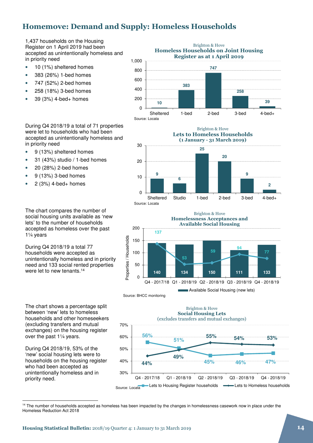# Homemove: Demand and Supply: Homeless Households

1,437 households on the Housing Register on 1 April 2019 had been accepted as unintentionally homeless and in priority need

- 10 (1%) sheltered homes
- 383 (26%) 1-bed homes
- 747 (52%) 2-bed homes
- 258 (18%) 3-bed homes
- 39 (3%) 4-bed+ homes

During Q4 2018/19 a total of 71 properties were let to households who had been accepted as unintentionally homeless and in priority need

- 9 (13%) sheltered homes
- 31 (43%) studio / 1-bed homes
- 20 (28%) 2-bed homes
- 9 (13%) 3-bed homes
- 2 (3%) 4-bed+ homes

The chart compares the number of social housing units available as 'new lets' to the number of households accepted as homeless over the past 1¼ years

During Q4 2018/19 a total 77 households were accepted as unintentionally homeless and in priority need and 133 social rented properties were let to new tenants.<sup>14</sup>

The chart shows a percentage split between 'new' lets to homeless households and other homeseekers (excluding transfers and mutual exchanges) on the housing register over the past 1¼ years.

During Q4 2018/19, 53% of the 'new' social housing lets were to households on the housing register who had been accepted as unintentionally homeless and in priority need.









Source: BHCC monitoring



 $\overline{a}$ <sup>14</sup> The number of households accepted as homeless has been impacted by the changes in homelessness casework now in place under the Homeless Reduction Act 2018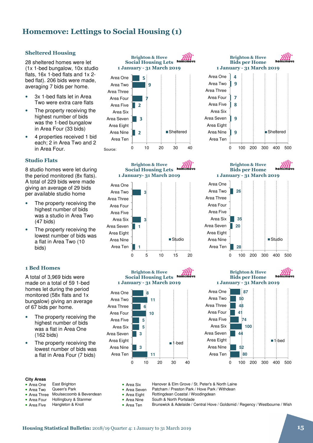# Homemove: Lettings to Social Housing (1)

### Sheltered Housing

28 sheltered homes were let (1x 1-bed bungalow, 10x studio flats, 16x 1-bed flats and 1x 2 bed flat). 206 bids were made, averaging 7 bids per home.

- 3x 1-bed flats let in Area Two were extra care flats
- The property receiving the highest number of bids was the 1-bed bungalow in Area Four (33 bids)
- 4 properties received 1 bid each; 2 in Area Two and 2 in Area Four.

### Studio Flats

8 studio homes were let during the period monitored (8x flats). A total of 229 bids were made giving an average of 29 bids per available studio home

- The property receiving the highest number of bids was a studio in Area Two (47 bids)
- The property receiving the lowest number of bids was a flat in Area Two (10 bids)

### 1 Bed Homes

A total of 3,969 bids were made on a total of 59 1-bed homes let during the period monitored (58x flats and 1x bungalow) giving an average of 67 bids per home.

- The property receiving the highest number of bids was a flat in Area One (162 bids)
- The property receiving the lowest number of bids was a flat in Area Four (7 bids)









#### **City Areas**

- 
- 
- 
- Area Four Hollingbury & Stanmer Area Nine<br>• Area Five Hangleton & Knoll Area Ten
- 

Area Ten Area Nine Area Eight Area Seven Area Six Area Five Area Four Area Three Area Two Area One

- 
- 
- 

• Area One East Brighton • Area Six Hanover & Elm Grove / St. Peter's & North Laine<br>• Area Soven Patcham / Preston Park / Hove Patk / Withdean • Area Two Queen's Park **• Area Seven Patcham / Preston Park / Hove Park / Withdean**<br>• Area Three Moulsecoomb & Bevendean • Area Eight Rottingdean Coastal / Woodingdean

• Area Eight Rottingdean Coastal / Woodingdean • Area Eight Rottingdean Coastal / Woodingdean

 $\blacksquare$  1-bed

**11**

0 10 20 30 40

**10 6**

**11 8**

Brighton & Hove Social Housing Lets hor 1 January - 31 March 2019

**3**

**3 5 5**

Brunswick & Adelaide / Central Hove / Goldsmid / Regency / Westbourne / Wish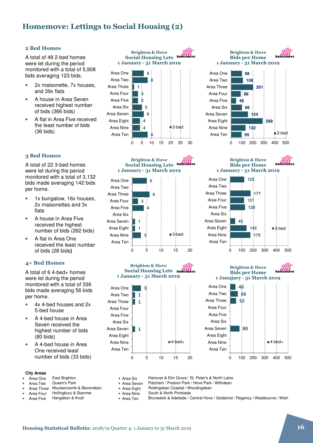## Homemove: Lettings to Social Housing (2)

#### 2 Bed Homes

A total of 48 2-bed homes were let during the period monitored with a total of 5,908 bids averaging 123 bids.

- 2x maisonette, 7x houses, and 39x flats
- A house in Area Seven received highest number of bids (366 bids)
- A flat in Area Five received the least number of bids (36 bids)

#### 3 Bed Homes

A total of 22 3-bed homes were let during the period monitored with a total of 3,132 bids made averaging 142 bids per home.

- 1x bungalow, 16x houses, 2x maisonettes and 3x flats
- A house in Area Five received the highest number of bids (262 bids)
- A flat in Area One received the least number of bids (28 bids**)**

#### 4+ Bed Homes

A total of 6 4-bed+ homes were let during the period monitored with a total of 336 bids made averaging 56 bids per home.

- 4x 4-bed houses and 2x 5-bed house
- A 4-bed house in Area Seven received the highest number of bids (80 bids)
- A 4-bed house in Area One received least number of bids (33 bids)

### **City Areas**

- 
- 
- 
- 
- 

Brighton & Hove Social Housing Lets homemove 1 January - 31 March 2019

















- **Fast Brighton Area Six Hanover & Elm Grove / St. Peter's & North Laine**<br>  **Area Seven** Patcham / Preston Park / Hove Park / Withdean
- Area Two Queen's Park<br>
Area Three Moulsecoomb & Bevendean Area Seven Patcham / Preston Park / Hove Park / Withdean<br>
 Area Eight Rottingdean Coastal / Woodingdean
- Area Three Moulsecoomb & Bevendean Area Eight Rottingdean Coastal / Woodingdean<br>Area Four Hollingbury & Stanmer Area Nine South & North Portslade
- Area Four Hollingbury & Stanmer Area Nine South & North Portslade
	-

• Area Five Hangleton & Knoll • Area Ten Brunswick & Adelaide / Central Hove / Goldsmid / Regency / Westbourne / Wish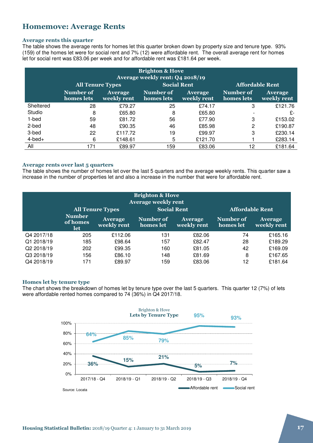### Homemove: Average Rents

#### Average rents this quarter

The table shows the average rents for homes let this quarter broken down by property size and tenure type. 93% (159) of the homes let were for social rent and 7% (12) were affordable rent. The overall average rent for homes let for social rent was £83.06 per week and for affordable rent was £181.64 per week.

| <b>Brighton &amp; Hove</b><br>Average weekly rent: Q4 2018/19 |                                               |                               |                         |                        |                         |                        |  |  |
|---------------------------------------------------------------|-----------------------------------------------|-------------------------------|-------------------------|------------------------|-------------------------|------------------------|--|--|
|                                                               | <b>Social Rent</b><br><b>All Tenure Types</b> |                               |                         |                        |                         | <b>Affordable Rent</b> |  |  |
|                                                               | Number of<br>homes lets                       | <b>Average</b><br>weekly rent | Number of<br>homes lets | Average<br>weekly rent | Number of<br>homes lets | Average<br>weekly rent |  |  |
| Sheltered                                                     | 28                                            | £79.27                        | 25                      | £74.17                 | 3                       | £121.76                |  |  |
| Studio                                                        | 8                                             | £65.80                        | 8                       | £65.80                 |                         | £-                     |  |  |
| 1-bed                                                         | 59                                            | £81.72                        | 56                      | £77.90                 | 3                       | £153.02                |  |  |
| 2-bed                                                         | 48                                            | £90.35                        | 46                      | £85.98                 | 2                       | £190.87                |  |  |
| 3-bed                                                         | 22                                            | £117.72                       | 19                      | £99.97                 | 3                       | £230.14                |  |  |
| $4$ -bed $+$                                                  | 6                                             | £148.61                       | 5                       | £121.70                |                         | £283.14                |  |  |
| All                                                           | 171                                           | £89.97                        | 159                     | £83.06                 | 12                      | £181.64                |  |  |

#### Average rents over last 5 quarters

The table shows the number of homes let over the last 5 quarters and the average weekly rents. This quarter saw a increase in the number of properties let and also a increase in the number that were for affordable rent.

| <b>Brighton &amp; Hove</b><br><b>Average weekly rent</b> |                                  |                        |                        |                               |                        |                        |
|----------------------------------------------------------|----------------------------------|------------------------|------------------------|-------------------------------|------------------------|------------------------|
|                                                          | <b>All Tenure Types</b>          |                        | <b>Social Rent</b>     |                               | <b>Affordable Rent</b> |                        |
|                                                          | <b>Number</b><br>of homes<br>let | Average<br>weekly rent | Number of<br>homes let | <b>Average</b><br>weekly rent | Number of<br>homes let | Average<br>weekly rent |
| Q4 2017/18                                               | 205                              | £112.06                | 131                    | £82.06                        | 74                     | £165.16                |
| Q1 2018/19                                               | 185                              | £98.64                 | 157                    | £82.47                        | 28                     | £189.29                |
| Q2 2018/19                                               | 202                              | £99.35                 | 160                    | £81.05                        | 42                     | £169.09                |
| Q3 2018/19                                               | 156                              | £86.10                 | 148                    | £81.69                        | 8                      | £167.65                |
| Q4 2018/19                                               | 171                              | £89.97                 | 159                    | £83.06                        | 12                     | £181.64                |

#### Homes let by tenure type

The chart shows the breakdown of homes let by tenure type over the last 5 quarters. This quarter 12 (7%) of lets were affordable rented homes compared to 74 (36%) in Q4 2017/18.